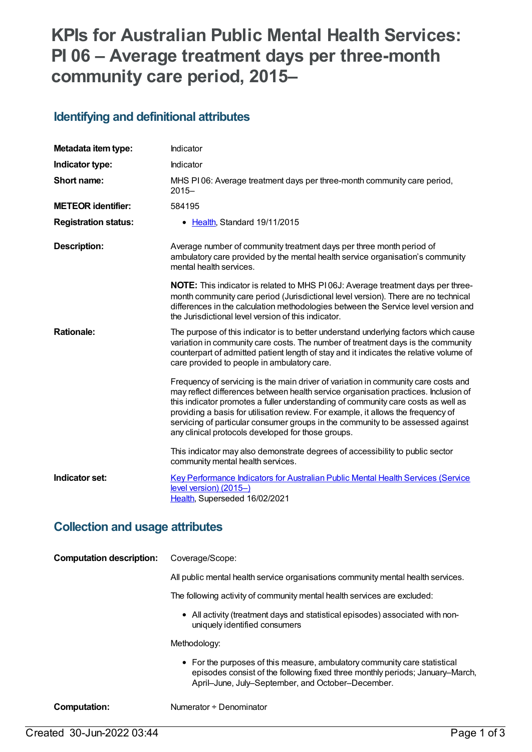# **KPIs for Australian Public Mental Health Services: PI 06 – Average treatment days per three-month community care period, 2015–**

### **Identifying and definitional attributes**

| Metadata item type:         | Indicator                                                                                                                                                                                                                                                                                                                                                                                                                                                                                    |
|-----------------------------|----------------------------------------------------------------------------------------------------------------------------------------------------------------------------------------------------------------------------------------------------------------------------------------------------------------------------------------------------------------------------------------------------------------------------------------------------------------------------------------------|
| Indicator type:             | Indicator                                                                                                                                                                                                                                                                                                                                                                                                                                                                                    |
| Short name:                 | MHS PI06: Average treatment days per three-month community care period,<br>$2015 -$                                                                                                                                                                                                                                                                                                                                                                                                          |
| <b>METEOR identifier:</b>   | 584195                                                                                                                                                                                                                                                                                                                                                                                                                                                                                       |
| <b>Registration status:</b> | • Health, Standard 19/11/2015                                                                                                                                                                                                                                                                                                                                                                                                                                                                |
| <b>Description:</b>         | Average number of community treatment days per three month period of<br>ambulatory care provided by the mental health service organisation's community<br>mental health services.                                                                                                                                                                                                                                                                                                            |
|                             | NOTE: This indicator is related to MHS P106J: Average treatment days per three-<br>month community care period (Jurisdictional level version). There are no technical<br>differences in the calculation methodologies between the Service level version and<br>the Jurisdictional level version of this indicator.                                                                                                                                                                           |
| <b>Rationale:</b>           | The purpose of this indicator is to better understand underlying factors which cause<br>variation in community care costs. The number of treatment days is the community<br>counterpart of admitted patient length of stay and it indicates the relative volume of<br>care provided to people in ambulatory care.                                                                                                                                                                            |
|                             | Frequency of servicing is the main driver of variation in community care costs and<br>may reflect differences between health service organisation practices. Inclusion of<br>this indicator promotes a fuller understanding of community care costs as well as<br>providing a basis for utilisation review. For example, it allows the frequency of<br>servicing of particular consumer groups in the community to be assessed against<br>any clinical protocols developed for those groups. |
|                             | This indicator may also demonstrate degrees of accessibility to public sector<br>community mental health services.                                                                                                                                                                                                                                                                                                                                                                           |
| Indicator set:              | Key Performance Indicators for Australian Public Mental Health Services (Service<br>level version) (2015-)<br>Health, Superseded 16/02/2021                                                                                                                                                                                                                                                                                                                                                  |

### **Collection and usage attributes**

| Coverage/Scope:                                                                                                                                                                                                 |
|-----------------------------------------------------------------------------------------------------------------------------------------------------------------------------------------------------------------|
| All public mental health service organisations community mental health services.                                                                                                                                |
| The following activity of community mental health services are excluded:                                                                                                                                        |
| • All activity (treatment days and statistical episodes) associated with non-<br>uniquely identified consumers                                                                                                  |
| Methodology:                                                                                                                                                                                                    |
| • For the purposes of this measure, ambulatory community care statistical<br>episodes consist of the following fixed three monthly periods; January-March,<br>April-June, July-September, and October-December. |
|                                                                                                                                                                                                                 |

**Computation:** Numerator ÷ Denominator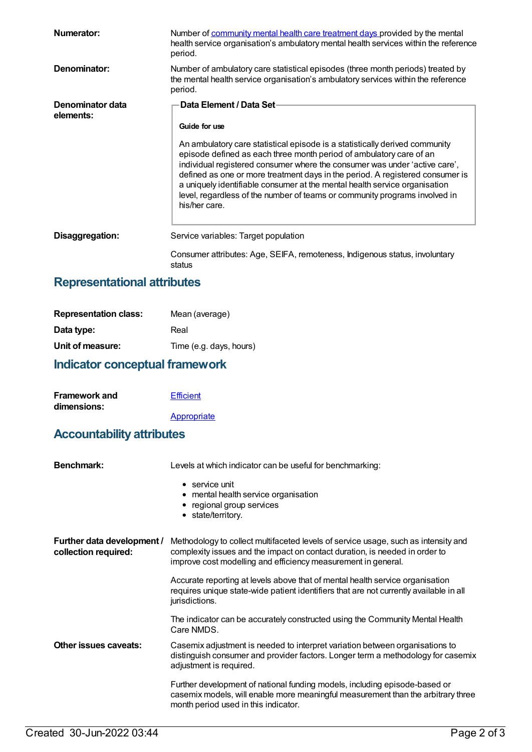| Numerator:                    | Number of community mental health care treatment days provided by the mental<br>health service organisation's ambulatory mental health services within the reference<br>period.                                                                                                                                                                                                                                                                                                                |
|-------------------------------|------------------------------------------------------------------------------------------------------------------------------------------------------------------------------------------------------------------------------------------------------------------------------------------------------------------------------------------------------------------------------------------------------------------------------------------------------------------------------------------------|
| Denominator:                  | Number of ambulatory care statistical episodes (three month periods) treated by<br>the mental health service organisation's ambulatory services within the reference<br>period.                                                                                                                                                                                                                                                                                                                |
| Denominator data<br>elements: | Data Element / Data Set-                                                                                                                                                                                                                                                                                                                                                                                                                                                                       |
|                               | Guide for use                                                                                                                                                                                                                                                                                                                                                                                                                                                                                  |
|                               | An ambulatory care statistical episode is a statistically derived community<br>episode defined as each three month period of ambulatory care of an<br>individual registered consumer where the consumer was under 'active care',<br>defined as one or more treatment days in the period. A registered consumer is<br>a uniquely identifiable consumer at the mental health service organisation<br>level, regardless of the number of teams or community programs involved in<br>his/her care. |
| Disaggregation:               | Service variables: Target population                                                                                                                                                                                                                                                                                                                                                                                                                                                           |
|                               | Consumer attributes: Age, SEIFA, remoteness, Indigenous status, involuntary<br>status                                                                                                                                                                                                                                                                                                                                                                                                          |

## **Representational attributes**

| <b>Representation class:</b> | Mean (average)          |
|------------------------------|-------------------------|
| Data type:                   | Real                    |
| Unit of measure:             | Time (e.g. days, hours) |

## **Indicator conceptual framework**

| <b>Framework and</b> | <b>Efficient</b> |
|----------------------|------------------|
| dimensions:          |                  |
|                      | Appropriate      |

## **Accountability attributes**

| Benchmark:                                         | Levels at which indicator can be useful for benchmarking:                                                                                                                                                                          |  |
|----------------------------------------------------|------------------------------------------------------------------------------------------------------------------------------------------------------------------------------------------------------------------------------------|--|
|                                                    | $\bullet$ service unit<br>• mental health service organisation<br>• regional group services<br>• state/territory.                                                                                                                  |  |
| Further data development /<br>collection required: | Methodology to collect multifaceted levels of service usage, such as intensity and<br>complexity issues and the impact on contact duration, is needed in order to<br>improve cost modelling and efficiency measurement in general. |  |
|                                                    | Accurate reporting at levels above that of mental health service organisation<br>requires unique state-wide patient identifiers that are not currently available in all<br>jurisdictions.                                          |  |
|                                                    | The indicator can be accurately constructed using the Community Mental Health<br>Care NMDS.                                                                                                                                        |  |
| Other issues caveats:                              | Casemix adjustment is needed to interpret variation between organisations to<br>distinguish consumer and provider factors. Longer term a methodology for casemix<br>adjustment is required.                                        |  |
|                                                    | Further development of national funding models, including episode-based or<br>casemix models, will enable more meaningful measurement than the arbitrary three<br>month period used in this indicator.                             |  |